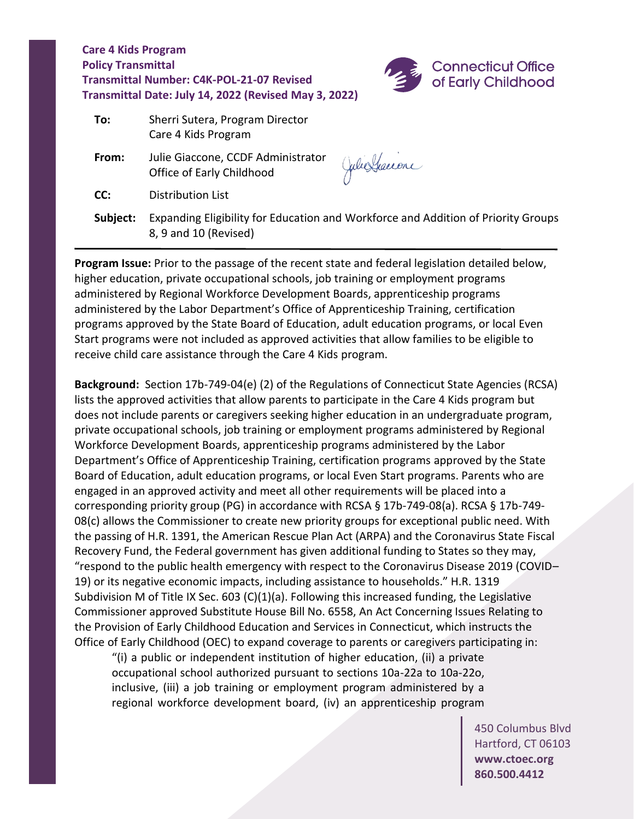

| To:      | Sherri Sutera, Program Director<br>Care 4 Kids Program                                                     |                |
|----------|------------------------------------------------------------------------------------------------------------|----------------|
| From:    | Julie Giaccone, CCDF Administrator<br>Office of Early Childhood                                            | Julie Graccone |
| CC:      | Distribution List                                                                                          |                |
| Subject: | Expanding Eligibility for Education and Workforce and Addition of Priority Groups<br>8, 9 and 10 (Revised) |                |

**Program Issue:** Prior to the passage of the recent state and federal legislation detailed below, higher education, private occupational schools, job training or employment programs administered by Regional Workforce Development Boards, apprenticeship programs administered by the Labor Department's Office of Apprenticeship Training, certification programs approved by the State Board of Education, adult education programs, or local Even Start programs were not included as approved activities that allow families to be eligible to receive child care assistance through the Care 4 Kids program.

**Background:** Section 17b-749-04(e) (2) of the Regulations of Connecticut State Agencies (RCSA) lists the approved activities that allow parents to participate in the Care 4 Kids program but does not include parents or caregivers seeking higher education in an undergraduate program, private occupational schools, job training or employment programs administered by Regional Workforce Development Boards, apprenticeship programs administered by the Labor Department's Office of Apprenticeship Training, certification programs approved by the State Board of Education, adult education programs, or local Even Start programs. Parents who are engaged in an approved activity and meet all other requirements will be placed into a corresponding priority group (PG) in accordance with RCSA § 17b-749-08(a). RCSA § 17b-749- 08(c) allows the Commissioner to create new priority groups for exceptional public need. With the passing of H.R. 1391, the American Rescue Plan Act (ARPA) and the Coronavirus State Fiscal Recovery Fund, the Federal government has given additional funding to States so they may, "respond to the public health emergency with respect to the Coronavirus Disease 2019 (COVID– 19) or its negative economic impacts, including assistance to households." H.R. 1319 Subdivision M of Title IX Sec. 603 (C)(1)(a). Following this increased funding, the Legislative Commissioner approved Substitute House Bill No. 6558, An Act Concerning Issues Relating to the Provision of Early Childhood Education and Services in Connecticut, which instructs the Office of Early Childhood (OEC) to expand coverage to parents or caregivers participating in:

"(i) a public or independent institution of higher education, (ii) a private occupational school authorized pursuant to sections 10a-22a to 10a-22o, inclusive, (iii) a job training or employment program administered by a regional workforce development board, (iv) an apprenticeship program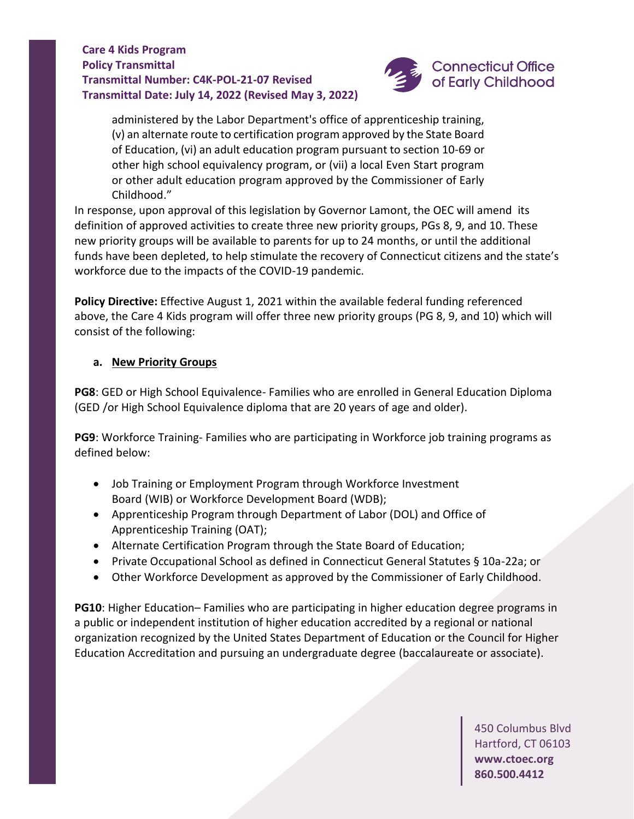

administered by the Labor Department's office of apprenticeship training, (v) an alternate route to certification program approved by the State Board of Education, (vi) an adult education program pursuant to section 10-69 or other high school equivalency program, or (vii) a local Even Start program or other adult education program approved by the Commissioner of Early Childhood."

In response, upon approval of this legislation by Governor Lamont, the OEC will amend its definition of approved activities to create three new priority groups, PGs 8, 9, and 10. These new priority groups will be available to parents for up to 24 months, or until the additional funds have been depleted, to help stimulate the recovery of Connecticut citizens and the state's workforce due to the impacts of the COVID-19 pandemic.

**Policy Directive:** Effective August 1, 2021 within the available federal funding referenced above, the Care 4 Kids program will offer three new priority groups (PG 8, 9, and 10) which will consist of the following:

### **a. New Priority Groups**

**PG8**: GED or High School Equivalence- Families who are enrolled in General Education Diploma (GED /or High School Equivalence diploma that are 20 years of age and older). 

**PG9**: Workforce Training- Families who are participating in Workforce job training programs as defined below:

- Job Training or Employment Program through Workforce Investment Board (WIB) or Workforce Development Board (WDB);
- Apprenticeship Program through Department of Labor (DOL) and Office of Apprenticeship Training (OAT);
- Alternate Certification Program through the State Board of Education;
- Private Occupational School as defined in Connecticut General Statutes § 10a-22a; or
- Other Workforce Development as approved by the Commissioner of Early Childhood.

**PG10**: Higher Education– Families who are participating in higher education degree programs in a public or independent institution of higher education accredited by a regional or national organization recognized by the United States Department of Education or the Council for Higher Education Accreditation and pursuing an undergraduate degree (baccalaureate or associate).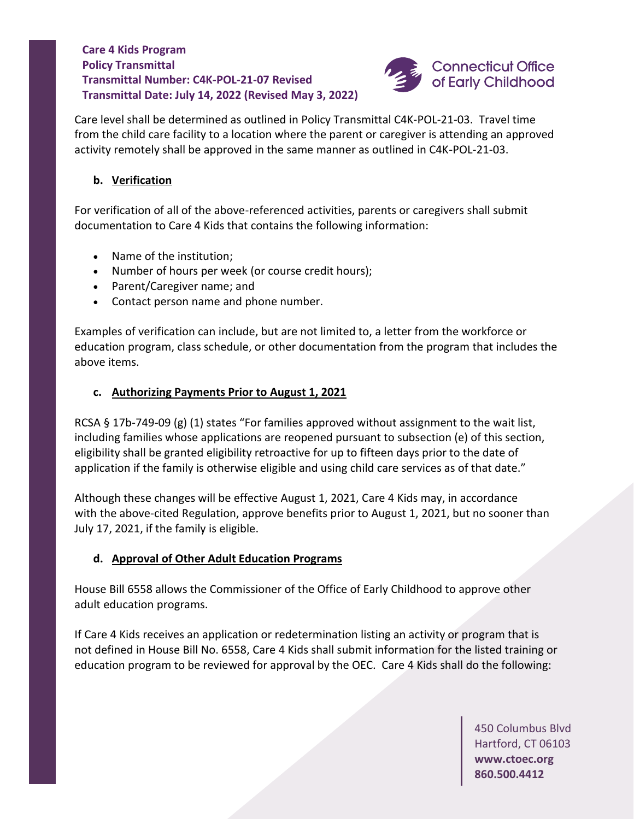

Care level shall be determined as outlined in Policy Transmittal C4K-POL-21-03. Travel time from the child care facility to a location where the parent or caregiver is attending an approved activity remotely shall be approved in the same manner as outlined in C4K-POL-21-03.

# **b. Verification**

For verification of all of the above-referenced activities, parents or caregivers shall submit documentation to Care 4 Kids that contains the following information:

- Name of the institution;
- Number of hours per week (or course credit hours);
- Parent/Caregiver name; and
- Contact person name and phone number.

Examples of verification can include, but are not limited to, a letter from the workforce or education program, class schedule, or other documentation from the program that includes the above items.

# **c. Authorizing Payments Prior to August 1, 2021**

RCSA § 17b-749-09 (g) (1) states "For families approved without assignment to the wait list, including families whose applications are reopened pursuant to subsection (e) of this section, eligibility shall be granted eligibility retroactive for up to fifteen days prior to the date of application if the family is otherwise eligible and using child care services as of that date."

Although these changes will be effective August 1, 2021, Care 4 Kids may, in accordance with the above-cited Regulation, approve benefits prior to August 1, 2021, but no sooner than July 17, 2021, if the family is eligible.

### **d. Approval of Other Adult Education Programs**

House Bill 6558 allows the Commissioner of the Office of Early Childhood to approve other adult education programs.

If Care 4 Kids receives an application or redetermination listing an activity or program that is not defined in House Bill No. 6558, Care 4 Kids shall submit information for the listed training or education program to be reviewed for approval by the OEC. Care 4 Kids shall do the following: